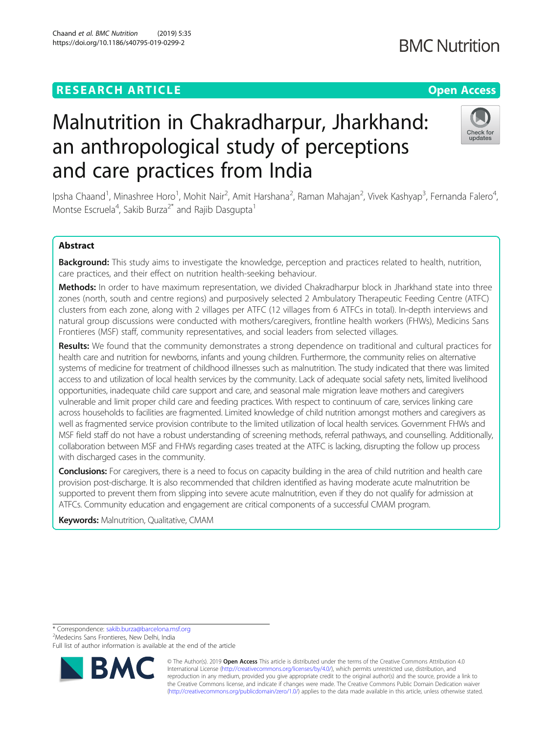# **RESEARCH ARTICLE Example 2018 12:30 THE OPEN ACCESS**

# Malnutrition in Chakradharpur, Jharkhand: an anthropological study of perceptions and care practices from India

Ipsha Chaand<sup>1</sup>, Minashree Horo<sup>1</sup>, Mohit Nair<sup>2</sup>, Amit Harshana<sup>2</sup>, Raman Mahajan<sup>2</sup>, Vivek Kashyap<sup>3</sup>, Fernanda Falero<sup>4</sup> , Montse Escruela<sup>4</sup>, Sakib Burza<sup>2\*</sup> and Rajib Dasgupta<sup>1</sup>

## Abstract

Background: This study aims to investigate the knowledge, perception and practices related to health, nutrition, care practices, and their effect on nutrition health-seeking behaviour.

Methods: In order to have maximum representation, we divided Chakradharpur block in Jharkhand state into three zones (north, south and centre regions) and purposively selected 2 Ambulatory Therapeutic Feeding Centre (ATFC) clusters from each zone, along with 2 villages per ATFC (12 villages from 6 ATFCs in total). In-depth interviews and natural group discussions were conducted with mothers/caregivers, frontline health workers (FHWs), Medicins Sans Frontieres (MSF) staff, community representatives, and social leaders from selected villages.

Results: We found that the community demonstrates a strong dependence on traditional and cultural practices for health care and nutrition for newborns, infants and young children. Furthermore, the community relies on alternative systems of medicine for treatment of childhood illnesses such as malnutrition. The study indicated that there was limited access to and utilization of local health services by the community. Lack of adequate social safety nets, limited livelihood opportunities, inadequate child care support and care, and seasonal male migration leave mothers and caregivers vulnerable and limit proper child care and feeding practices. With respect to continuum of care, services linking care across households to facilities are fragmented. Limited knowledge of child nutrition amongst mothers and caregivers as well as fragmented service provision contribute to the limited utilization of local health services. Government FHWs and MSF field staff do not have a robust understanding of screening methods, referral pathways, and counselling. Additionally, collaboration between MSF and FHWs regarding cases treated at the ATFC is lacking, disrupting the follow up process with discharged cases in the community.

Conclusions: For caregivers, there is a need to focus on capacity building in the area of child nutrition and health care provision post-discharge. It is also recommended that children identified as having moderate acute malnutrition be supported to prevent them from slipping into severe acute malnutrition, even if they do not qualify for admission at ATFCs. Community education and engagement are critical components of a successful CMAM program.

Keywords: Malnutrition, Qualitative, CMAM

\* Correspondence: [sakib.burza@barcelona.msf.org](mailto:sakib.burza@barcelona.msf.org) <sup>2</sup>

<sup>2</sup>Medecins Sans Frontieres, New Delhi, India

Full list of author information is available at the end of the article



© The Author(s). 2019 **Open Access** This article is distributed under the terms of the Creative Commons Attribution 4.0 International License [\(http://creativecommons.org/licenses/by/4.0/](http://creativecommons.org/licenses/by/4.0/)), which permits unrestricted use, distribution, and reproduction in any medium, provided you give appropriate credit to the original author(s) and the source, provide a link to the Creative Commons license, and indicate if changes were made. The Creative Commons Public Domain Dedication waiver [\(http://creativecommons.org/publicdomain/zero/1.0/](http://creativecommons.org/publicdomain/zero/1.0/)) applies to the data made available in this article, unless otherwise stated.

**BMC Nutrition** 



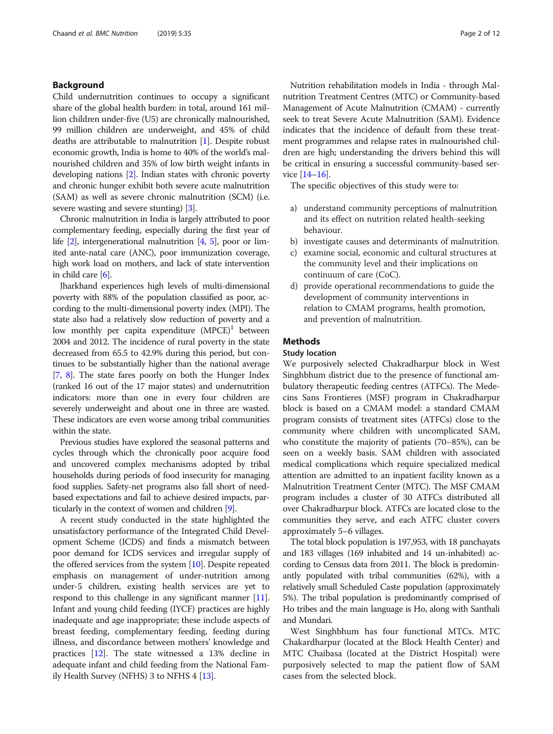## Background

Child undernutrition continues to occupy a significant share of the global health burden: in total, around 161 million children under-five (U5) are chronically malnourished, 99 million children are underweight, and 45% of child deaths are attributable to malnutrition [\[1](#page-10-0)]. Despite robust economic growth, India is home to 40% of the world's malnourished children and 35% of low birth weight infants in developing nations [[2](#page-10-0)]. Indian states with chronic poverty and chronic hunger exhibit both severe acute malnutrition (SAM) as well as severe chronic malnutrition (SCM) (i.e. severe wasting and severe stunting) [[3](#page-10-0)].

Chronic malnutrition in India is largely attributed to poor complementary feeding, especially during the first year of life [\[2\]](#page-10-0), intergenerational malnutrition [\[4](#page-10-0), [5\]](#page-10-0), poor or limited ante-natal care (ANC), poor immunization coverage, high work load on mothers, and lack of state intervention in child care [[6](#page-10-0)].

Jharkhand experiences high levels of multi-dimensional poverty with 88% of the population classified as poor, according to the multi-dimensional poverty index (MPI). The state also had a relatively slow reduction of poverty and a low monthly per capita expenditure  $(MPCE)^1$  between 2004 and 2012. The incidence of rural poverty in the state decreased from 65.5 to 42.9% during this period, but continues to be substantially higher than the national average [[7](#page-10-0), [8\]](#page-10-0). The state fares poorly on both the Hunger Index (ranked 16 out of the 17 major states) and undernutrition indicators: more than one in every four children are severely underweight and about one in three are wasted. These indicators are even worse among tribal communities within the state.

Previous studies have explored the seasonal patterns and cycles through which the chronically poor acquire food and uncovered complex mechanisms adopted by tribal households during periods of food insecurity for managing food supplies. Safety-net programs also fall short of needbased expectations and fail to achieve desired impacts, particularly in the context of women and children [\[9\]](#page-10-0).

A recent study conducted in the state highlighted the unsatisfactory performance of the Integrated Child Development Scheme (ICDS) and finds a mismatch between poor demand for ICDS services and irregular supply of the offered services from the system [\[10\]](#page-10-0). Despite repeated emphasis on management of under-nutrition among under-5 children, existing health services are yet to respond to this challenge in any significant manner [[11](#page-10-0)]. Infant and young child feeding (IYCF) practices are highly inadequate and age inappropriate; these include aspects of breast feeding, complementary feeding, feeding during illness, and discordance between mothers' knowledge and practices [\[12\]](#page-10-0). The state witnessed a 13% decline in adequate infant and child feeding from the National Family Health Survey (NFHS) 3 to NFHS 4 [[13](#page-11-0)].

Nutrition rehabilitation models in India - through Malnutrition Treatment Centres (MTC) or Community-based Management of Acute Malnutrition (CMAM) - currently seek to treat Severe Acute Malnutrition (SAM). Evidence indicates that the incidence of default from these treatment programmes and relapse rates in malnourished children are high; understanding the drivers behind this will be critical in ensuring a successful community-based service [\[14](#page-11-0)–[16](#page-11-0)].

The specific objectives of this study were to:

- a) understand community perceptions of malnutrition and its effect on nutrition related health-seeking behaviour.
- b) investigate causes and determinants of malnutrition.
- c) examine social, economic and cultural structures at the community level and their implications on continuum of care (CoC).
- d) provide operational recommendations to guide the development of community interventions in relation to CMAM programs, health promotion, and prevention of malnutrition.

## **Methods**

### Study location

We purposively selected Chakradharpur block in West Singhbhum district due to the presence of functional ambulatory therapeutic feeding centres (ATFCs). The Medecins Sans Frontieres (MSF) program in Chakradharpur block is based on a CMAM model: a standard CMAM program consists of treatment sites (ATFCs) close to the community where children with uncomplicated SAM, who constitute the majority of patients (70–85%), can be seen on a weekly basis. SAM children with associated medical complications which require specialized medical attention are admitted to an inpatient facility known as a Malnutrition Treatment Center (MTC). The MSF CMAM program includes a cluster of 30 ATFCs distributed all over Chakradharpur block. ATFCs are located close to the communities they serve, and each ATFC cluster covers approximately 5–6 villages.

The total block population is 197,953, with 18 panchayats and 183 villages (169 inhabited and 14 un-inhabited) according to Census data from 2011. The block is predominantly populated with tribal communities (62%), with a relatively small Scheduled Caste population (approximately 5%). The tribal population is predominantly comprised of Ho tribes and the main language is Ho, along with Santhali and Mundari.

West Singhbhum has four functional MTCs. MTC Chakardharpur (located at the Block Health Center) and MTC Chaibasa (located at the District Hospital) were purposively selected to map the patient flow of SAM cases from the selected block.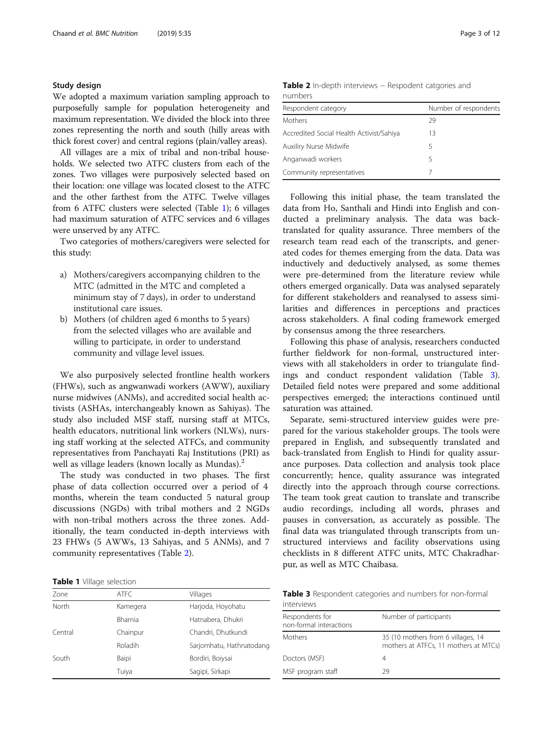## Study design

We adopted a maximum variation sampling approach to purposefully sample for population heterogeneity and maximum representation. We divided the block into three zones representing the north and south (hilly areas with thick forest cover) and central regions (plain/valley areas).

All villages are a mix of tribal and non-tribal households. We selected two ATFC clusters from each of the zones. Two villages were purposively selected based on their location: one village was located closest to the ATFC and the other farthest from the ATFC. Twelve villages from 6 ATFC clusters were selected (Table 1); 6 villages had maximum saturation of ATFC services and 6 villages were unserved by any ATFC.

Two categories of mothers/caregivers were selected for this study:

- a) Mothers/caregivers accompanying children to the MTC (admitted in the MTC and completed a minimum stay of 7 days), in order to understand institutional care issues.
- b) Mothers (of children aged 6 months to 5 years) from the selected villages who are available and willing to participate, in order to understand community and village level issues.

We also purposively selected frontline health workers (FHWs), such as angwanwadi workers (AWW), auxiliary nurse midwives (ANMs), and accredited social health activists (ASHAs, interchangeably known as Sahiyas). The study also included MSF staff, nursing staff at MTCs, health educators, nutritional link workers (NLWs), nursing staff working at the selected ATFCs, and community representatives from Panchayati Raj Institutions (PRI) as well as village leaders (known locally as Mundas).<sup>2</sup>

The study was conducted in two phases. The first phase of data collection occurred over a period of 4 months, wherein the team conducted 5 natural group discussions (NGDs) with tribal mothers and 2 NGDs with non-tribal mothers across the three zones. Additionally, the team conducted in-depth interviews with 23 FHWs (5 AWWs, 13 Sahiyas, and 5 ANMs), and 7 community representatives (Table 2).

Table 1 Village selection

| Zone    | ATFC.          | Villages                 |
|---------|----------------|--------------------------|
| North   | Kamegera       | Harjoda, Hoyohatu        |
|         | <b>Bharnia</b> | Hatnabera, Dhukri        |
| Central | Chainpur       | Chandri, Dhutkundi       |
|         | Roladih        | Sarjomhatu, Hathnatodang |
| South   | Baipi          | Bordiri, Boiysai         |
|         | Tuiya          | Saqipi, Sirkapi          |

| <b>Table 2</b> In-depth interviews -- Respodent catgories and |  |  |
|---------------------------------------------------------------|--|--|
| numbers                                                       |  |  |

| Respondent category                      | Number of respondents |  |  |  |
|------------------------------------------|-----------------------|--|--|--|
| <b>Mothers</b>                           | 29                    |  |  |  |
| Accredited Social Health Activist/Sahiya | 13                    |  |  |  |
| Auxiliry Nurse Midwife                   | 5                     |  |  |  |
| Anganwadi workers                        | 5                     |  |  |  |
| Community representatives                |                       |  |  |  |
|                                          |                       |  |  |  |

Following this initial phase, the team translated the data from Ho, Santhali and Hindi into English and conducted a preliminary analysis. The data was backtranslated for quality assurance. Three members of the research team read each of the transcripts, and generated codes for themes emerging from the data. Data was inductively and deductively analysed, as some themes were pre-determined from the literature review while others emerged organically. Data was analysed separately for different stakeholders and reanalysed to assess similarities and differences in perceptions and practices across stakeholders. A final coding framework emerged by consensus among the three researchers.

Following this phase of analysis, researchers conducted further fieldwork for non-formal, unstructured interviews with all stakeholders in order to triangulate findings and conduct respondent validation (Table 3). Detailed field notes were prepared and some additional perspectives emerged; the interactions continued until saturation was attained.

Separate, semi-structured interview guides were prepared for the various stakeholder groups. The tools were prepared in English, and subsequently translated and back-translated from English to Hindi for quality assurance purposes. Data collection and analysis took place concurrently; hence, quality assurance was integrated directly into the approach through course corrections. The team took great caution to translate and transcribe audio recordings, including all words, phrases and pauses in conversation, as accurately as possible. The final data was triangulated through transcripts from unstructured interviews and facility observations using checklists in 8 different ATFC units, MTC Chakradharpur, as well as MTC Chaibasa.

|            | <b>Table 3</b> Respondent categories and numbers for non-formal |  |  |  |
|------------|-----------------------------------------------------------------|--|--|--|
| interviews |                                                                 |  |  |  |

| Respondents for<br>non-formal interactions | Number of participants                                                      |
|--------------------------------------------|-----------------------------------------------------------------------------|
| <b>Mothers</b>                             | 35 (10 mothers from 6 villages, 14<br>mothers at ATFCs, 11 mothers at MTCs) |
| Doctors (MSF)                              | 4                                                                           |
| MSF program staff                          | 29                                                                          |
|                                            |                                                                             |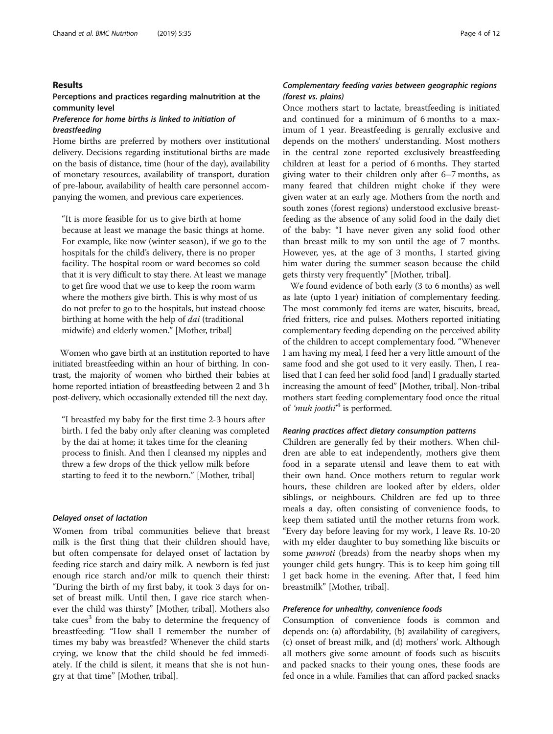## Results

## Perceptions and practices regarding malnutrition at the community level

## Preference for home births is linked to initiation of breastfeeding

Home births are preferred by mothers over institutional delivery. Decisions regarding institutional births are made on the basis of distance, time (hour of the day), availability of monetary resources, availability of transport, duration of pre-labour, availability of health care personnel accompanying the women, and previous care experiences.

"It is more feasible for us to give birth at home because at least we manage the basic things at home. For example, like now (winter season), if we go to the hospitals for the child's delivery, there is no proper facility. The hospital room or ward becomes so cold that it is very difficult to stay there. At least we manage to get fire wood that we use to keep the room warm where the mothers give birth. This is why most of us do not prefer to go to the hospitals, but instead choose birthing at home with the help of *dai* (traditional midwife) and elderly women." [Mother, tribal]

Women who gave birth at an institution reported to have initiated breastfeeding within an hour of birthing. In contrast, the majority of women who birthed their babies at home reported intiation of breastfeeding between 2 and 3 h post-delivery, which occasionally extended till the next day.

"I breastfed my baby for the first time 2-3 hours after birth. I fed the baby only after cleaning was completed by the dai at home; it takes time for the cleaning process to finish. And then I cleansed my nipples and threw a few drops of the thick yellow milk before starting to feed it to the newborn." [Mother, tribal]

## Delayed onset of lactation

Women from tribal communities believe that breast milk is the first thing that their children should have, but often compensate for delayed onset of lactation by feeding rice starch and dairy milk. A newborn is fed just enough rice starch and/or milk to quench their thirst: "During the birth of my first baby, it took 3 days for onset of breast milk. Until then, I gave rice starch whenever the child was thirsty" [Mother, tribal]. Mothers also take  $cues<sup>3</sup>$  from the baby to determine the frequency of breastfeeding: "How shall I remember the number of times my baby was breastfed? Whenever the child starts crying, we know that the child should be fed immediately. If the child is silent, it means that she is not hungry at that time" [Mother, tribal].

## Complementary feeding varies between geographic regions (forest vs. plains)

Once mothers start to lactate, breastfeeding is initiated and continued for a minimum of 6 months to a maximum of 1 year. Breastfeeding is genrally exclusive and depends on the mothers' understanding. Most mothers in the central zone reported exclusively breastfeeding children at least for a period of 6 months. They started giving water to their children only after 6–7 months, as many feared that children might choke if they were given water at an early age. Mothers from the north and south zones (forest regions) understood exclusive breastfeeding as the absence of any solid food in the daily diet of the baby: "I have never given any solid food other than breast milk to my son until the age of 7 months. However, yes, at the age of 3 months, I started giving him water during the summer season because the child gets thirsty very frequently" [Mother, tribal].

We found evidence of both early (3 to 6 months) as well as late (upto 1 year) initiation of complementary feeding. The most commonly fed items are water, biscuits, bread, fried fritters, rice and pulses. Mothers reported initiating complementary feeding depending on the perceived ability of the children to accept complementary food. "Whenever I am having my meal, I feed her a very little amount of the same food and she got used to it very easily. Then, I realised that I can feed her solid food [and] I gradually started increasing the amount of feed" [Mother, tribal]. Non-tribal mothers start feeding complementary food once the ritual of 'muh joothi'<sup>4</sup> is performed.

## Rearing practices affect dietary consumption patterns

Children are generally fed by their mothers. When children are able to eat independently, mothers give them food in a separate utensil and leave them to eat with their own hand. Once mothers return to regular work hours, these children are looked after by elders, older siblings, or neighbours. Children are fed up to three meals a day, often consisting of convenience foods, to keep them satiated until the mother returns from work. "Every day before leaving for my work, I leave Rs. 10-20 with my elder daughter to buy something like biscuits or some *pawroti* (breads) from the nearby shops when my younger child gets hungry. This is to keep him going till I get back home in the evening. After that, I feed him breastmilk" [Mother, tribal].

## Preference for unhealthy, convenience foods

Consumption of convenience foods is common and depends on: (a) affordability, (b) availability of caregivers, (c) onset of breast milk, and (d) mothers' work. Although all mothers give some amount of foods such as biscuits and packed snacks to their young ones, these foods are fed once in a while. Families that can afford packed snacks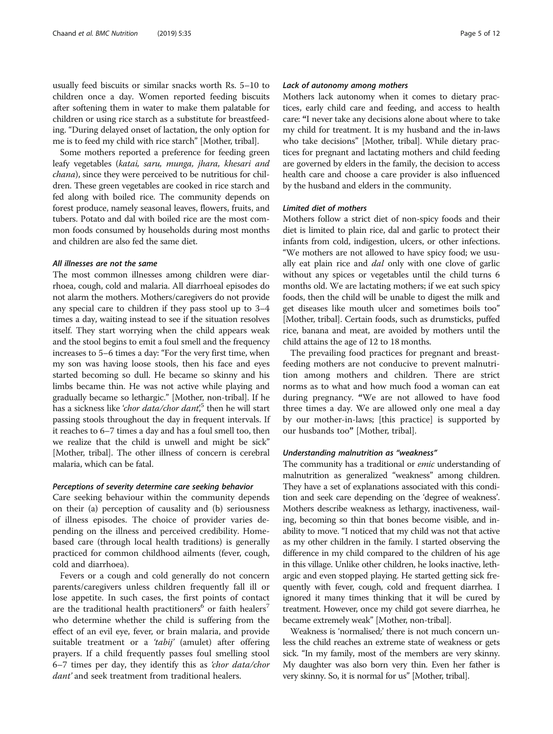usually feed biscuits or similar snacks worth Rs. 5–10 to children once a day. Women reported feeding biscuits after softening them in water to make them palatable for children or using rice starch as a substitute for breastfeeding. "During delayed onset of lactation, the only option for me is to feed my child with rice starch" [Mother, tribal].

Some mothers reported a preference for feeding green leafy vegetables (katai, saru, munga, jhara, khesari and chana), since they were perceived to be nutritious for children. These green vegetables are cooked in rice starch and fed along with boiled rice. The community depends on forest produce, namely seasonal leaves, flowers, fruits, and tubers. Potato and dal with boiled rice are the most common foods consumed by households during most months and children are also fed the same diet.

### All illnesses are not the same

The most common illnesses among children were diarrhoea, cough, cold and malaria. All diarrhoeal episodes do not alarm the mothers. Mothers/caregivers do not provide any special care to children if they pass stool up to 3–4 times a day, waiting instead to see if the situation resolves itself. They start worrying when the child appears weak and the stool begins to emit a foul smell and the frequency increases to 5–6 times a day: "For the very first time, when my son was having loose stools, then his face and eyes started becoming so dull. He became so skinny and his limbs became thin. He was not active while playing and gradually became so lethargic." [Mother, non-tribal]. If he has a sickness like *'chor data/chor dant*',<sup>5</sup> then he will start passing stools throughout the day in frequent intervals. If it reaches to 6–7 times a day and has a foul smell too, then we realize that the child is unwell and might be sick" [Mother, tribal]. The other illness of concern is cerebral malaria, which can be fatal.

## Perceptions of severity determine care seeking behavior

Care seeking behaviour within the community depends on their (a) perception of causality and (b) seriousness of illness episodes. The choice of provider varies depending on the illness and perceived credibility. Homebased care (through local health traditions) is generally practiced for common childhood ailments (fever, cough, cold and diarrhoea).

Fevers or a cough and cold generally do not concern parents/caregivers unless children frequently fall ill or lose appetite. In such cases, the first points of contact are the traditional health practitioners<sup>6</sup> or faith healers<sup>7</sup> who determine whether the child is suffering from the effect of an evil eye, fever, or brain malaria, and provide suitable treatment or a 'tabij' (amulet) after offering prayers. If a child frequently passes foul smelling stool 6–7 times per day, they identify this as 'chor data/chor dant' and seek treatment from traditional healers.

## Lack of autonomy among mothers

Mothers lack autonomy when it comes to dietary practices, early child care and feeding, and access to health care: "I never take any decisions alone about where to take my child for treatment. It is my husband and the in-laws who take decisions" [Mother, tribal]. While dietary practices for pregnant and lactating mothers and child feeding are governed by elders in the family, the decision to access health care and choose a care provider is also influenced by the husband and elders in the community.

#### Limited diet of mothers

Mothers follow a strict diet of non-spicy foods and their diet is limited to plain rice, dal and garlic to protect their infants from cold, indigestion, ulcers, or other infections. "We mothers are not allowed to have spicy food; we usually eat plain rice and dal only with one clove of garlic without any spices or vegetables until the child turns 6 months old. We are lactating mothers; if we eat such spicy foods, then the child will be unable to digest the milk and get diseases like mouth ulcer and sometimes boils too" [Mother, tribal]. Certain foods, such as drumsticks, puffed rice, banana and meat, are avoided by mothers until the child attains the age of 12 to 18 months.

The prevailing food practices for pregnant and breastfeeding mothers are not conducive to prevent malnutrition among mothers and children. There are strict norms as to what and how much food a woman can eat during pregnancy. "We are not allowed to have food three times a day. We are allowed only one meal a day by our mother-in-laws; [this practice] is supported by our husbands too" [Mother, tribal].

## Understanding malnutrition as "weakness"

The community has a traditional or *emic* understanding of malnutrition as generalized "weakness" among children. They have a set of explanations associated with this condition and seek care depending on the 'degree of weakness'. Mothers describe weakness as lethargy, inactiveness, wailing, becoming so thin that bones become visible, and inability to move. "I noticed that my child was not that active as my other children in the family. I started observing the difference in my child compared to the children of his age in this village. Unlike other children, he looks inactive, lethargic and even stopped playing. He started getting sick frequently with fever, cough, cold and frequent diarrhea. I ignored it many times thinking that it will be cured by treatment. However, once my child got severe diarrhea, he became extremely weak" [Mother, non-tribal].

Weakness is 'normalised;' there is not much concern unless the child reaches an extreme state of weakness or gets sick. "In my family, most of the members are very skinny. My daughter was also born very thin. Even her father is very skinny. So, it is normal for us" [Mother, tribal].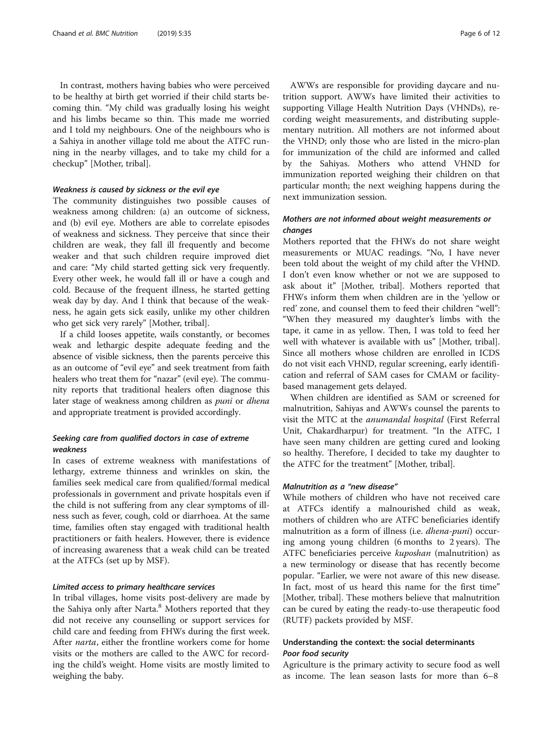In contrast, mothers having babies who were perceived to be healthy at birth get worried if their child starts becoming thin. "My child was gradually losing his weight and his limbs became so thin. This made me worried and I told my neighbours. One of the neighbours who is a Sahiya in another village told me about the ATFC running in the nearby villages, and to take my child for a checkup" [Mother, tribal].

### Weakness is caused by sickness or the evil eye

The community distinguishes two possible causes of weakness among children: (a) an outcome of sickness, and (b) evil eye. Mothers are able to correlate episodes of weakness and sickness. They perceive that since their children are weak, they fall ill frequently and become weaker and that such children require improved diet and care: "My child started getting sick very frequently. Every other week, he would fall ill or have a cough and cold. Because of the frequent illness, he started getting weak day by day. And I think that because of the weakness, he again gets sick easily, unlike my other children who get sick very rarely" [Mother, tribal].

If a child looses appetite, wails constantly, or becomes weak and lethargic despite adequate feeding and the absence of visible sickness, then the parents perceive this as an outcome of "evil eye" and seek treatment from faith healers who treat them for "nazar" (evil eye). The community reports that traditional healers often diagnose this later stage of weakness among children as *puni* or *dhena* and appropriate treatment is provided accordingly.

## Seeking care from qualified doctors in case of extreme weakness

In cases of extreme weakness with manifestations of lethargy, extreme thinness and wrinkles on skin, the families seek medical care from qualified/formal medical professionals in government and private hospitals even if the child is not suffering from any clear symptoms of illness such as fever, cough, cold or diarrhoea. At the same time, families often stay engaged with traditional health practitioners or faith healers. However, there is evidence of increasing awareness that a weak child can be treated at the ATFCs (set up by MSF).

## Limited access to primary healthcare services

In tribal villages, home visits post-delivery are made by the Sahiya only after Narta.<sup>8</sup> Mothers reported that they did not receive any counselling or support services for child care and feeding from FHWs during the first week. After *narta*, either the frontline workers come for home visits or the mothers are called to the AWC for recording the child's weight. Home visits are mostly limited to weighing the baby.

AWWs are responsible for providing daycare and nutrition support. AWWs have limited their activities to supporting Village Health Nutrition Days (VHNDs), recording weight measurements, and distributing supplementary nutrition. All mothers are not informed about the VHND; only those who are listed in the micro-plan for immunization of the child are informed and called by the Sahiyas. Mothers who attend VHND for immunization reported weighing their children on that particular month; the next weighing happens during the next immunization session.

## Mothers are not informed about weight measurements or changes

Mothers reported that the FHWs do not share weight measurements or MUAC readings. "No, I have never been told about the weight of my child after the VHND. I don't even know whether or not we are supposed to ask about it" [Mother, tribal]. Mothers reported that FHWs inform them when children are in the 'yellow or red' zone, and counsel them to feed their children "well": "When they measured my daughter's limbs with the tape, it came in as yellow. Then, I was told to feed her well with whatever is available with us" [Mother, tribal]. Since all mothers whose children are enrolled in ICDS do not visit each VHND, regular screening, early identification and referral of SAM cases for CMAM or facilitybased management gets delayed.

When children are identified as SAM or screened for malnutrition, Sahiyas and AWWs counsel the parents to visit the MTC at the anumandal hospital (First Referral Unit, Chakardharpur) for treatment. "In the ATFC, I have seen many children are getting cured and looking so healthy. Therefore, I decided to take my daughter to the ATFC for the treatment" [Mother, tribal].

## Malnutrition as a "new disease"

While mothers of children who have not received care at ATFCs identify a malnourished child as weak, mothers of children who are ATFC beneficiaries identify malnutrition as a form of illness (i.e. dhena-puni) occuring among young children (6 months to 2 years). The ATFC beneficiaries perceive kuposhan (malnutrition) as a new terminology or disease that has recently become popular. "Earlier, we were not aware of this new disease. In fact, most of us heard this name for the first time" [Mother, tribal]. These mothers believe that malnutrition can be cured by eating the ready-to-use therapeutic food (RUTF) packets provided by MSF.

## Understanding the context: the social determinants Poor food security

Agriculture is the primary activity to secure food as well as income. The lean season lasts for more than 6–8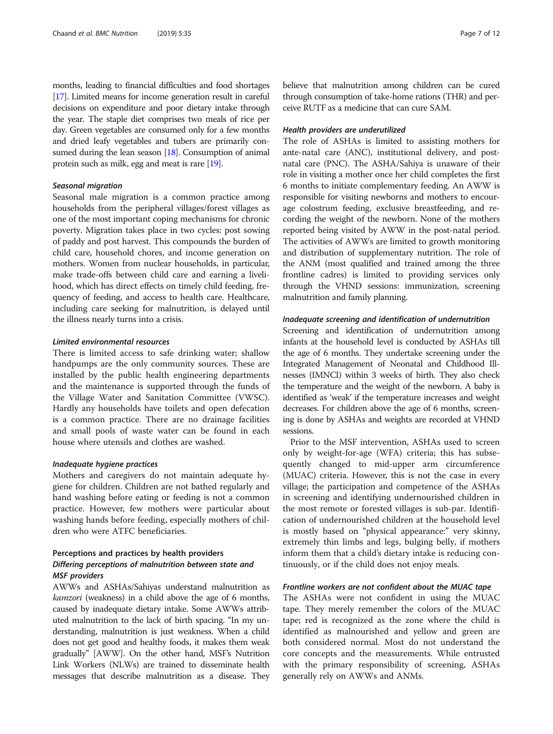months, leading to financial difficulties and food shortages [[17](#page-11-0)]. Limited means for income generation result in careful decisions on expenditure and poor dietary intake through the year. The staple diet comprises two meals of rice per day. Green vegetables are consumed only for a few months and dried leafy vegetables and tubers are primarily con-sumed during the lean season [[18](#page-11-0)]. Consumption of animal protein such as milk, egg and meat is rare [\[19](#page-11-0)].

## Seasonal migration

Seasonal male migration is a common practice among households from the peripheral villages/forest villages as one of the most important coping mechanisms for chronic poverty. Migration takes place in two cycles: post sowing of paddy and post harvest. This compounds the burden of child care, household chores, and income generation on mothers. Women from nuclear households, in particular, make trade-offs between child care and earning a livelihood, which has direct effects on timely child feeding, frequency of feeding, and access to health care. Healthcare, including care seeking for malnutrition, is delayed until the illness nearly turns into a crisis.

## Limited environmental resources

There is limited access to safe drinking water; shallow handpumps are the only community sources. These are installed by the public health engineering departments and the maintenance is supported through the funds of the Village Water and Sanitation Committee (VWSC). Hardly any households have toilets and open defecation is a common practice. There are no drainage facilities and small pools of waste water can be found in each house where utensils and clothes are washed.

#### Inadequate hygiene practices

Mothers and caregivers do not maintain adequate hygiene for children. Children are not bathed regularly and hand washing before eating or feeding is not a common practice. However, few mothers were particular about washing hands before feeding, especially mothers of children who were ATFC beneficiaries.

## Perceptions and practices by health providers Differing perceptions of malnutrition between state and MSF providers

AWWs and ASHAs/Sahiyas understand malnutrition as kamzori (weakness) in a child above the age of 6 months, caused by inadequate dietary intake. Some AWWs attributed malnutrition to the lack of birth spacing. "In my understanding, malnutrition is just weakness. When a child does not get good and healthy foods, it makes them weak gradually" [AWW]. On the other hand, MSF's Nutrition Link Workers (NLWs) are trained to disseminate health messages that describe malnutrition as a disease. They

believe that malnutrition among children can be cured through consumption of take-home rations (THR) and perceive RUTF as a medicine that can cure SAM.

## Health providers are underutilized

The role of ASHAs is limited to assisting mothers for ante-natal care (ANC), institutional delivery, and postnatal care (PNC). The ASHA/Sahiya is unaware of their role in visiting a mother once her child completes the first 6 months to initiate complementary feeding. An AWW is responsible for visiting newborns and mothers to encourage colostrum feeding, exclusive breastfeeding, and recording the weight of the newborn. None of the mothers reported being visited by AWW in the post-natal period. The activities of AWWs are limited to growth monitoring and distribution of supplementary nutrition. The role of the ANM (most qualified and trained among the three frontline cadres) is limited to providing services only through the VHND sessions: immunization, screening malnutrition and family planning.

#### Inadequate screening and identification of undernutrition

Screening and identification of undernutrition among infants at the household level is conducted by ASHAs till the age of 6 months. They undertake screening under the Integrated Management of Neonatal and Childhood Illnesses (IMNCI) within 3 weeks of birth. They also check the temperature and the weight of the newborn. A baby is identified as 'weak' if the temperature increases and weight decreases. For children above the age of 6 months, screening is done by ASHAs and weights are recorded at VHND sessions.

Prior to the MSF intervention, ASHAs used to screen only by weight-for-age (WFA) criteria; this has subsequently changed to mid-upper arm circumference (MUAC) criteria. However, this is not the case in every village; the participation and competence of the ASHAs in screening and identifying undernourished children in the most remote or forested villages is sub-par. Identification of undernourished children at the household level is mostly based on "physical appearance:" very skinny, extremely thin limbs and legs, bulging belly, if mothers inform them that a child's dietary intake is reducing continuously, or if the child does not enjoy meals.

## Frontline workers are not confident about the MUAC tape

The ASHAs were not confident in using the MUAC tape. They merely remember the colors of the MUAC tape; red is recognized as the zone where the child is identified as malnourished and yellow and green are both considered normal. Most do not understand the core concepts and the measurements. While entrusted with the primary responsibility of screening, ASHAs generally rely on AWWs and ANMs.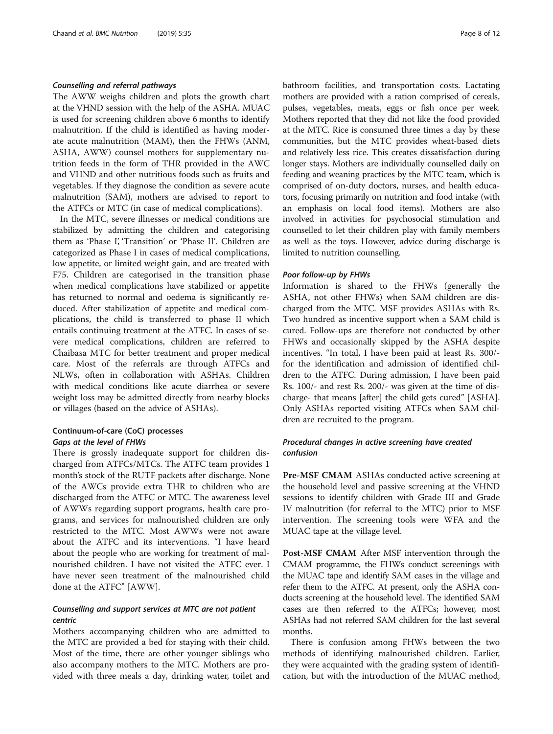## Counselling and referral pathways

The AWW weighs children and plots the growth chart at the VHND session with the help of the ASHA. MUAC is used for screening children above 6 months to identify malnutrition. If the child is identified as having moderate acute malnutrition (MAM), then the FHWs (ANM, ASHA, AWW) counsel mothers for supplementary nutrition feeds in the form of THR provided in the AWC and VHND and other nutritious foods such as fruits and vegetables. If they diagnose the condition as severe acute malnutrition (SAM), mothers are advised to report to the ATFCs or MTC (in case of medical complications).

In the MTC, severe illnesses or medical conditions are stabilized by admitting the children and categorising them as 'Phase I', 'Transition' or 'Phase II'. Children are categorized as Phase I in cases of medical complications, low appetite, or limited weight gain, and are treated with F75. Children are categorised in the transition phase when medical complications have stabilized or appetite has returned to normal and oedema is significantly reduced. After stabilization of appetite and medical complications, the child is transferred to phase II which entails continuing treatment at the ATFC. In cases of severe medical complications, children are referred to Chaibasa MTC for better treatment and proper medical care. Most of the referrals are through ATFCs and NLWs, often in collaboration with ASHAs. Children with medical conditions like acute diarrhea or severe weight loss may be admitted directly from nearby blocks or villages (based on the advice of ASHAs).

## Continuum-of-care (CoC) processes Gaps at the level of FHWs

There is grossly inadequate support for children discharged from ATFCs/MTCs. The ATFC team provides 1 month's stock of the RUTF packets after discharge. None of the AWCs provide extra THR to children who are discharged from the ATFC or MTC. The awareness level of AWWs regarding support programs, health care programs, and services for malnourished children are only restricted to the MTC. Most AWWs were not aware about the ATFC and its interventions. "I have heard about the people who are working for treatment of malnourished children. I have not visited the ATFC ever. I have never seen treatment of the malnourished child done at the ATFC" [AWW].

## Counselling and support services at MTC are not patient centric

Mothers accompanying children who are admitted to the MTC are provided a bed for staying with their child. Most of the time, there are other younger siblings who also accompany mothers to the MTC. Mothers are provided with three meals a day, drinking water, toilet and bathroom facilities, and transportation costs. Lactating mothers are provided with a ration comprised of cereals, pulses, vegetables, meats, eggs or fish once per week. Mothers reported that they did not like the food provided at the MTC. Rice is consumed three times a day by these communities, but the MTC provides wheat-based diets and relatively less rice. This creates dissatisfaction during longer stays. Mothers are individually counselled daily on feeding and weaning practices by the MTC team, which is comprised of on-duty doctors, nurses, and health educators, focusing primarily on nutrition and food intake (with an emphasis on local food items). Mothers are also involved in activities for psychosocial stimulation and counselled to let their children play with family members as well as the toys. However, advice during discharge is limited to nutrition counselling.

#### Poor follow-up by FHWs

Information is shared to the FHWs (generally the ASHA, not other FHWs) when SAM children are discharged from the MTC. MSF provides ASHAs with Rs. Two hundred as incentive support when a SAM child is cured. Follow-ups are therefore not conducted by other FHWs and occasionally skipped by the ASHA despite incentives. "In total, I have been paid at least Rs. 300/ for the identification and admission of identified children to the ATFC. During admission, I have been paid Rs. 100/- and rest Rs. 200/- was given at the time of discharge- that means [after] the child gets cured" [ASHA]. Only ASHAs reported visiting ATFCs when SAM children are recruited to the program.

## Procedural changes in active screening have created confusion

Pre-MSF CMAM ASHAs conducted active screening at the household level and passive screening at the VHND sessions to identify children with Grade III and Grade IV malnutrition (for referral to the MTC) prior to MSF intervention. The screening tools were WFA and the MUAC tape at the village level.

Post-MSF CMAM After MSF intervention through the CMAM programme, the FHWs conduct screenings with the MUAC tape and identify SAM cases in the village and refer them to the ATFC. At present, only the ASHA conducts screening at the household level. The identified SAM cases are then referred to the ATFCs; however, most ASHAs had not referred SAM children for the last several months.

There is confusion among FHWs between the two methods of identifying malnourished children. Earlier, they were acquainted with the grading system of identification, but with the introduction of the MUAC method,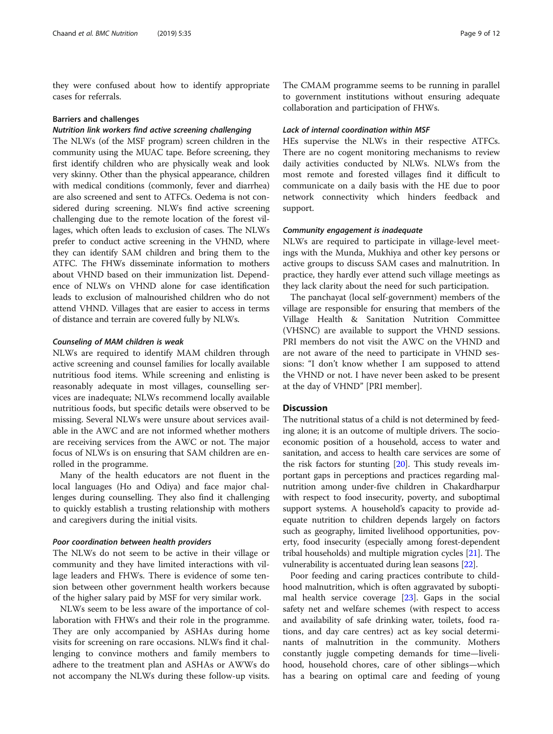they were confused about how to identify appropriate cases for referrals.

#### Barriers and challenges

## Nutrition link workers find active screening challenging

The NLWs (of the MSF program) screen children in the community using the MUAC tape. Before screening, they first identify children who are physically weak and look very skinny. Other than the physical appearance, children with medical conditions (commonly, fever and diarrhea) are also screened and sent to ATFCs. Oedema is not considered during screening. NLWs find active screening challenging due to the remote location of the forest villages, which often leads to exclusion of cases. The NLWs prefer to conduct active screening in the VHND, where they can identify SAM children and bring them to the ATFC. The FHWs disseminate information to mothers about VHND based on their immunization list. Dependence of NLWs on VHND alone for case identification leads to exclusion of malnourished children who do not attend VHND. Villages that are easier to access in terms of distance and terrain are covered fully by NLWs.

#### Counseling of MAM children is weak

NLWs are required to identify MAM children through active screening and counsel families for locally available nutritious food items. While screening and enlisting is reasonably adequate in most villages, counselling services are inadequate; NLWs recommend locally available nutritious foods, but specific details were observed to be missing. Several NLWs were unsure about services available in the AWC and are not informed whether mothers are receiving services from the AWC or not. The major focus of NLWs is on ensuring that SAM children are enrolled in the programme.

Many of the health educators are not fluent in the local languages (Ho and Odiya) and face major challenges during counselling. They also find it challenging to quickly establish a trusting relationship with mothers and caregivers during the initial visits.

## Poor coordination between health providers

The NLWs do not seem to be active in their village or community and they have limited interactions with village leaders and FHWs. There is evidence of some tension between other government health workers because of the higher salary paid by MSF for very similar work.

NLWs seem to be less aware of the importance of collaboration with FHWs and their role in the programme. They are only accompanied by ASHAs during home visits for screening on rare occasions. NLWs find it challenging to convince mothers and family members to adhere to the treatment plan and ASHAs or AWWs do not accompany the NLWs during these follow-up visits.

The CMAM programme seems to be running in parallel to government institutions without ensuring adequate collaboration and participation of FHWs.

## Lack of internal coordination within MSF

HEs supervise the NLWs in their respective ATFCs. There are no cogent monitoring mechanisms to review daily activities conducted by NLWs. NLWs from the most remote and forested villages find it difficult to communicate on a daily basis with the HE due to poor network connectivity which hinders feedback and support.

#### Community engagement is inadequate

NLWs are required to participate in village-level meetings with the Munda, Mukhiya and other key persons or active groups to discuss SAM cases and malnutrition. In practice, they hardly ever attend such village meetings as they lack clarity about the need for such participation.

The panchayat (local self-government) members of the village are responsible for ensuring that members of the Village Health & Sanitation Nutrition Committee (VHSNC) are available to support the VHND sessions. PRI members do not visit the AWC on the VHND and are not aware of the need to participate in VHND sessions: "I don't know whether I am supposed to attend the VHND or not. I have never been asked to be present at the day of VHND" [PRI member].

### **Discussion**

The nutritional status of a child is not determined by feeding alone; it is an outcome of multiple drivers. The socioeconomic position of a household, access to water and sanitation, and access to health care services are some of the risk factors for stunting [[20](#page-11-0)]. This study reveals important gaps in perceptions and practices regarding malnutrition among under-five children in Chakardharpur with respect to food insecurity, poverty, and suboptimal support systems. A household's capacity to provide adequate nutrition to children depends largely on factors such as geography, limited livelihood opportunities, poverty, food insecurity (especially among forest-dependent tribal households) and multiple migration cycles [[21\]](#page-11-0). The vulnerability is accentuated during lean seasons [[22](#page-11-0)].

Poor feeding and caring practices contribute to childhood malnutrition, which is often aggravated by suboptimal health service coverage [[23](#page-11-0)]. Gaps in the social safety net and welfare schemes (with respect to access and availability of safe drinking water, toilets, food rations, and day care centres) act as key social determinants of malnutrition in the community. Mothers constantly juggle competing demands for time—livelihood, household chores, care of other siblings—which has a bearing on optimal care and feeding of young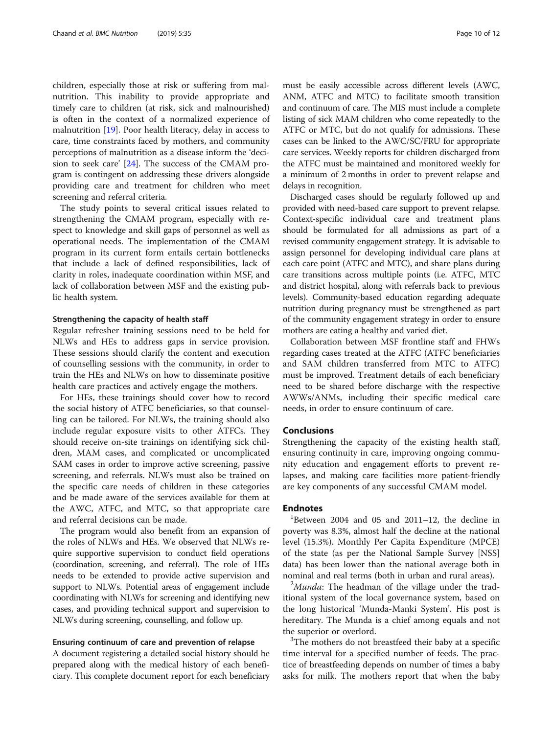children, especially those at risk or suffering from malnutrition. This inability to provide appropriate and timely care to children (at risk, sick and malnourished) is often in the context of a normalized experience of malnutrition [[19](#page-11-0)]. Poor health literacy, delay in access to care, time constraints faced by mothers, and community perceptions of malnutrition as a disease inform the 'decision to seek care' [\[24](#page-11-0)]. The success of the CMAM program is contingent on addressing these drivers alongside providing care and treatment for children who meet screening and referral criteria.

The study points to several critical issues related to strengthening the CMAM program, especially with respect to knowledge and skill gaps of personnel as well as operational needs. The implementation of the CMAM program in its current form entails certain bottlenecks that include a lack of defined responsibilities, lack of clarity in roles, inadequate coordination within MSF, and lack of collaboration between MSF and the existing public health system.

#### Strengthening the capacity of health staff

Regular refresher training sessions need to be held for NLWs and HEs to address gaps in service provision. These sessions should clarify the content and execution of counselling sessions with the community, in order to train the HEs and NLWs on how to disseminate positive health care practices and actively engage the mothers.

For HEs, these trainings should cover how to record the social history of ATFC beneficiaries, so that counselling can be tailored. For NLWs, the training should also include regular exposure visits to other ATFCs. They should receive on-site trainings on identifying sick children, MAM cases, and complicated or uncomplicated SAM cases in order to improve active screening, passive screening, and referrals. NLWs must also be trained on the specific care needs of children in these categories and be made aware of the services available for them at the AWC, ATFC, and MTC, so that appropriate care and referral decisions can be made.

The program would also benefit from an expansion of the roles of NLWs and HEs. We observed that NLWs require supportive supervision to conduct field operations (coordination, screening, and referral). The role of HEs needs to be extended to provide active supervision and support to NLWs. Potential areas of engagement include coordinating with NLWs for screening and identifying new cases, and providing technical support and supervision to NLWs during screening, counselling, and follow up.

### Ensuring continuum of care and prevention of relapse

A document registering a detailed social history should be prepared along with the medical history of each beneficiary. This complete document report for each beneficiary must be easily accessible across different levels (AWC, ANM, ATFC and MTC) to facilitate smooth transition and continuum of care. The MIS must include a complete listing of sick MAM children who come repeatedly to the ATFC or MTC, but do not qualify for admissions. These cases can be linked to the AWC/SC/FRU for appropriate care services. Weekly reports for children discharged from the ATFC must be maintained and monitored weekly for a minimum of 2 months in order to prevent relapse and delays in recognition.

Discharged cases should be regularly followed up and provided with need-based care support to prevent relapse. Context-specific individual care and treatment plans should be formulated for all admissions as part of a revised community engagement strategy. It is advisable to assign personnel for developing individual care plans at each care point (ATFC and MTC), and share plans during care transitions across multiple points (i.e. ATFC, MTC and district hospital, along with referrals back to previous levels). Community-based education regarding adequate nutrition during pregnancy must be strengthened as part of the community engagement strategy in order to ensure mothers are eating a healthy and varied diet.

Collaboration between MSF frontline staff and FHWs regarding cases treated at the ATFC (ATFC beneficiaries and SAM children transferred from MTC to ATFC) must be improved. Treatment details of each beneficiary need to be shared before discharge with the respective AWWs/ANMs, including their specific medical care needs, in order to ensure continuum of care.

## Conclusions

Strengthening the capacity of the existing health staff, ensuring continuity in care, improving ongoing community education and engagement efforts to prevent relapses, and making care facilities more patient-friendly are key components of any successful CMAM model.

## **Endnotes**

 $1$ Between 2004 and 05 and 2011–12, the decline in poverty was 8.3%, almost half the decline at the national level (15.3%). Monthly Per Capita Expenditure (MPCE) of the state (as per the National Sample Survey [NSS] data) has been lower than the national average both in nominal and real terms (both in urban and rural areas). <sup>2</sup>

 $2$ Munda: The headman of the village under the traditional system of the local governance system, based on the long historical 'Munda-Manki System'. His post is hereditary. The Munda is a chief among equals and not the superior or overlord.

The mothers do not breastfeed their baby at a specific time interval for a specified number of feeds. The practice of breastfeeding depends on number of times a baby asks for milk. The mothers report that when the baby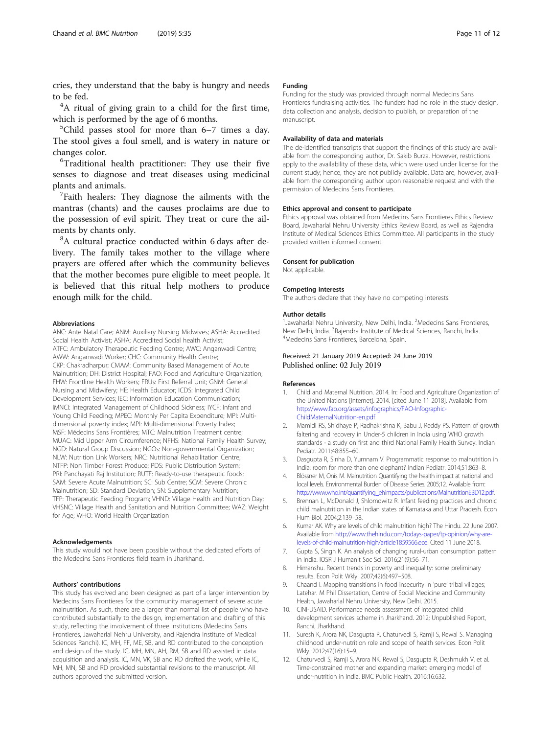<span id="page-10-0"></span>cries, they understand that the baby is hungry and needs to be fed.

<sup>4</sup>A ritual of giving grain to a child for the first time, which is performed by the age of 6 months.

 $5$ Child passes stool for more than 6–7 times a day. The stool gives a foul smell, and is watery in nature or changes color.

<sup>6</sup>Traditional health practitioner: They use their five senses to diagnose and treat diseases using medicinal plants and animals. <sup>7</sup>

 $7$ Faith healers: They diagnose the ailments with the mantras (chants) and the causes proclaims are due to the possession of evil spirit. They treat or cure the ailments by chants only.

<sup>8</sup>A cultural practice conducted within 6 days after delivery. The family takes mother to the village where prayers are offered after which the community believes that the mother becomes pure eligible to meet people. It is believed that this ritual help mothers to produce enough milk for the child.

#### Abbreviations

ANC: Ante Natal Care; ANM: Auxiliary Nursing Midwives; ASHA: Accredited Social Health Activist; ASHA: Accredited Social health Activist; ATFC: Ambulatory Therapeutic Feeding Centre; AWC: Anganwadi Centre; AWW: Anganwadi Worker; CHC: Community Health Centre; CKP: Chakradharpur; CMAM: Community Based Management of Acute Malnutrition; DH: District Hospital; FAO: Food and Agriculture Organization; FHW: Frontline Health Workers; FRUs: First Referral Unit; GNM: General Nursing and Midwifery; HE: Health Educator; ICDS: Integrated Child Development Services; IEC: Information Education Communication; IMNCI: Integrated Management of Childhood Sickness; IYCF: Infant and Young Child Feeding; MPEC: Monthly Per Capita Expenditure; MPI: Multidimensional poverty index; MPI: Multi-dimensional Poverty Index; MSF: Médecins Sans Frontières; MTC: Malnutrition Treatment centre; MUAC: Mid Upper Arm Circumference; NFHS: National Family Health Survey; NGD: Natural Group Discussion; NGOs: Non-governmental Organization; NLW: Nutrition Link Workers; NRC: Nutritional Rehabilitation Centre; NTFP: Non Timber Forest Produce; PDS: Public Distribution System; PRI: Panchayati Raj Institution; RUTF: Ready-to-use therapeutic foods; SAM: Severe Acute Malnutrition; SC: Sub Centre; SCM: Severe Chronic Malnutrition; SD: Standard Deviation; SN: Supplementary Nutrition; TFP: Therapeutic Feeding Program; VHND: Village Health and Nutrition Day; VHSNC: Village Health and Sanitation and Nutrition Committee; WAZ: Weight for Age; WHO: World Health Organization

#### Acknowledgements

This study would not have been possible without the dedicated efforts of the Medecins Sans Frontieres field team in Jharkhand.

#### Authors' contributions

This study has evolved and been designed as part of a larger intervention by Medecins Sans Frontieres for the community management of severe acute malnutrition. As such, there are a larger than normal list of people who have contributed substantially to the design, implementation and drafting of this study, reflecting the involvement of three institutions (Medecins Sans Frontieres, Jawaharlal Nehru University, and Rajendra Institute of Medical Sciences Ranchi). IC, MH, FF, ME, SB, and RD contributed to the conception and design of the study. IC, MH, MN, AH, RM, SB and RD assisted in data acquisition and analysis. IC, MN, VK, SB and RD drafted the work, while IC, MH, MN, SB and RD provided substantial revisions to the manuscript. All authors approved the submitted version.

#### Funding

Funding for the study was provided through normal Medecins Sans Frontieres fundraising activities. The funders had no role in the study design, data collection and analysis, decision to publish, or preparation of the manuscript.

#### Availability of data and materials

The de-identified transcripts that support the findings of this study are available from the corresponding author, Dr. Sakib Burza. However, restrictions apply to the availability of these data, which were used under license for the current study; hence, they are not publicly available. Data are, however, available from the corresponding author upon reasonable request and with the permission of Medecins Sans Frontieres.

#### Ethics approval and consent to participate

Ethics approval was obtained from Medecins Sans Frontieres Ethics Review Board, Jawaharlal Nehru University Ethics Review Board, as well as Rajendra Institute of Medical Sciences Ethics Committee. All participants in the study provided written informed consent.

#### Consent for publication

Not applicable.

#### Competing interests

The authors declare that they have no competing interests.

#### Author details

<sup>1</sup> Jawaharlal Nehru University, New Delhi, India. <sup>2</sup>Medecins Sans Frontieres, New Delhi, India. <sup>3</sup> Rajendra Institute of Medical Sciences, Ranchi, India.<br><sup>4</sup> Medecins Sans Frontieres, Barcelona, Spain. <sup>4</sup>Medecins Sans Frontieres, Barcelona, Spain.

## Received: 21 January 2019 Accepted: 24 June 2019 Published online: 02 July 2019

#### References

- 1. Child and Maternal Nutrition. 2014. In: Food and Agriculture Organization of the United Nations [Internet]. 2014. [cited June 11 2018]. Available from [http://www.fao.org/assets/infographics/FAO-Infographic-](http://www.fao.org/assets/infographics/FAO-Infographic-ChildMaternalNutrition-en.pdf)[ChildMaternalNutrition-en.pdf](http://www.fao.org/assets/infographics/FAO-Infographic-ChildMaternalNutrition-en.pdf)
- 2. Mamidi RS, Shidhaye P, Radhakrishna K, Babu J, Reddy PS. Pattern of growth faltering and recovery in Under-5 children in India using WHO growth standards - a study on first and third National Family Health Survey. Indian Pediatr. 2011;48:855–60.
- 3. Dasgupta R, Sinha D, Yumnam V. Programmatic response to malnutrition in India: room for more than one elephant? Indian Pediatr. 2014;51:863–8.
- 4. Blössner M, Onis M. Malnutrition Quantifying the health impact at national and local levels. Environmental Burden of Disease Series. 2005;12. Available from: [http://www.who.int/quantifying\\_ehimpacts/publications/MalnutritionEBD12.pdf.](http://www.who.int/quantifying_ehimpacts/publications/MalnutritionEBD12.pdf)
- 5. Brennan L, McDonald J, Shlomowitz R. Infant feeding practices and chronic child malnutrition in the Indian states of Karnataka and Uttar Pradesh. Econ Hum Biol. 2004;2:139–58.
- Kumar AK. Why are levels of child malnutrition high? The Hindu. 22 June 2007. Available from [http://www.thehindu.com/todays-paper/tp-opinion/why-are](http://www.thehindu.com/todays-paper/tp-opinion/why-are-levels-of-child-malnutrition-high/article1859566.ece)[levels-of-child-malnutrition-high/article1859566.ece](http://www.thehindu.com/todays-paper/tp-opinion/why-are-levels-of-child-malnutrition-high/article1859566.ece). Cited 11 June 2018.
- 7. Gupta S, Singh K. An analysis of changing rural-urban consumption pattern in India. IOSR J Humanit Soc Sci. 2016;21(9):56–71.
- 8. Himanshu. Recent trends in poverty and inequality: some preliminary results. Econ Polit Wkly. 2007;42(6):497–508.
- 9. Chaand I. Mapping transitions in food insecurity in 'pure' tribal villages; Latehar. M Phil Dissertation, Centre of Social Medicine and Community Health, Jawaharlal Nehru University, New Delhi. 2015.
- 10. CINI-USAID. Performance needs assessment of integrated child development services scheme in Jharkhand. 2012; Unpublished Report, Ranchi, Jharkhand.
- 11. Suresh K, Arora NK, Dasgupta R, Chaturvedi S, Ramji S, Rewal S. Managing childhood under-nutrition role and scope of health services. Econ Polit Wkly. 2012;47(16):15–9.
- 12. Chaturvedi S, Ramji S, Arora NK, Rewal S, Dasgupta R, Deshmukh V, et al. Time-constrained mother and expanding market: emerging model of under-nutrition in India. BMC Public Health. 2016;16:632.